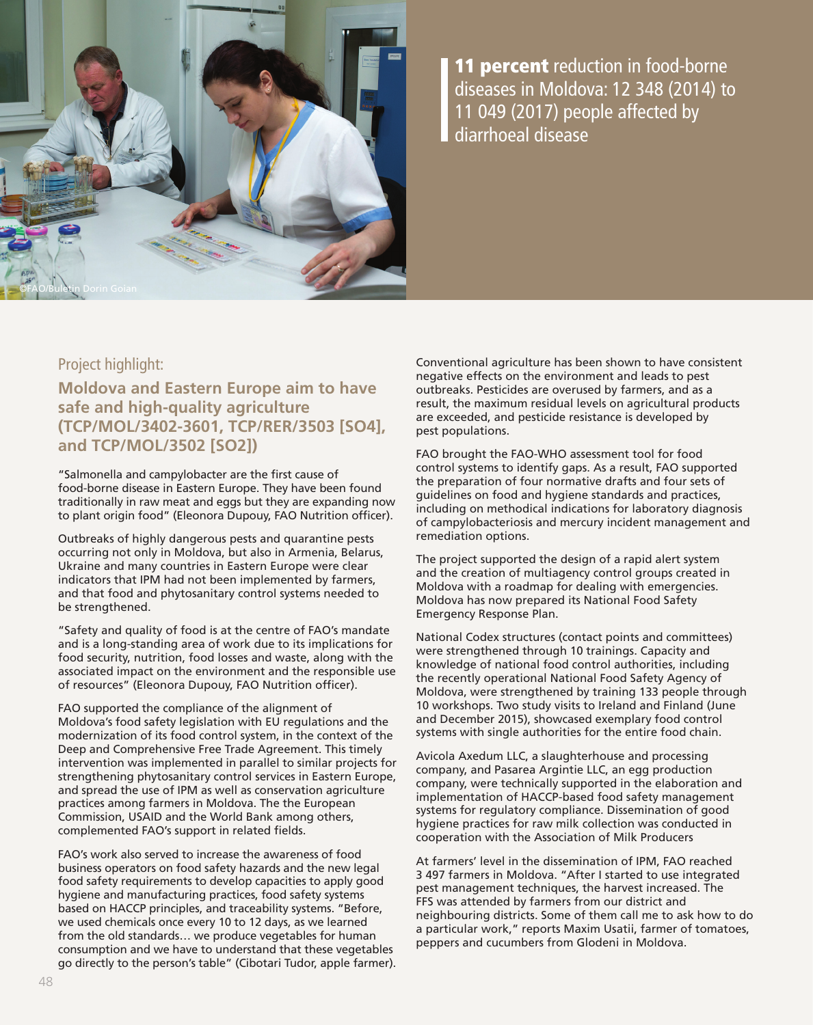

**11 percent** reduction in food-borne diseases in Moldova: 12 348 (2014) to 11 049 (2017) people affected by diarrhoeal disease

# Project highlight:

**Moldova and Eastern Europe aim to have safe and high-quality agriculture (TCP/MOL/3402-3601, TCP/RER/3503 [SO4], and TCP/MOL/3502 [SO2])**

"Salmonella and campylobacter are the first cause of food-borne disease in Eastern Europe. They have been found traditionally in raw meat and eggs but they are expanding now to plant origin food" (Eleonora Dupouy, FAO Nutrition officer).

Outbreaks of highly dangerous pests and quarantine pests occurring not only in Moldova, but also in Armenia, Belarus, Ukraine and many countries in Eastern Europe were clear indicators that IPM had not been implemented by farmers, and that food and phytosanitary control systems needed to be strengthened.

"Safety and quality of food is at the centre of FAO's mandate and is a long-standing area of work due to its implications for food security, nutrition, food losses and waste, along with the associated impact on the environment and the responsible use of resources" (Eleonora Dupouy, FAO Nutrition officer).

FAO supported the compliance of the alignment of Moldova's food safety legislation with EU regulations and the modernization of its food control system, in the context of the Deep and Comprehensive Free Trade Agreement. This timely intervention was implemented in parallel to similar projects for strengthening phytosanitary control services in Eastern Europe, and spread the use of IPM as well as conservation agriculture practices among farmers in Moldova. The the European Commission, USAID and the World Bank among others, complemented FAO's support in related fields.

FAO's work also served to increase the awareness of food business operators on food safety hazards and the new legal food safety requirements to develop capacities to apply good hygiene and manufacturing practices, food safety systems based on HACCP principles, and traceability systems. "Before, we used chemicals once every 10 to 12 days, as we learned from the old standards… we produce vegetables for human consumption and we have to understand that these vegetables go directly to the person's table" (Cibotari Tudor, apple farmer). Conventional agriculture has been shown to have consistent negative effects on the environment and leads to pest outbreaks. Pesticides are overused by farmers, and as a result, the maximum residual levels on agricultural products are exceeded, and pesticide resistance is developed by pest populations.

FAO brought the FAO-WHO assessment tool for food control systems to identify gaps. As a result, FAO supported the preparation of four normative drafts and four sets of guidelines on food and hygiene standards and practices, including on methodical indications for laboratory diagnosis of campylobacteriosis and mercury incident management and remediation options.

The project supported the design of a rapid alert system and the creation of multiagency control groups created in Moldova with a roadmap for dealing with emergencies. Moldova has now prepared its National Food Safety Emergency Response Plan.

National Codex structures (contact points and committees) were strengthened through 10 trainings. Capacity and knowledge of national food control authorities, including the recently operational National Food Safety Agency of Moldova, were strengthened by training 133 people through 10 workshops. Two study visits to Ireland and Finland (June and December 2015), showcased exemplary food control systems with single authorities for the entire food chain.

Avicola Axedum LLC, a slaughterhouse and processing company, and Pasarea Argintie LLC, an egg production company, were technically supported in the elaboration and implementation of HACCP-based food safety management systems for regulatory compliance. Dissemination of good hygiene practices for raw milk collection was conducted in cooperation with the Association of Milk Producers

At farmers' level in the dissemination of IPM, FAO reached 3 497 farmers in Moldova. "After I started to use integrated pest management techniques, the harvest increased. The FFS was attended by farmers from our district and neighbouring districts. Some of them call me to ask how to do a particular work," reports Maxim Usatii, farmer of tomatoes, peppers and cucumbers from Glodeni in Moldova.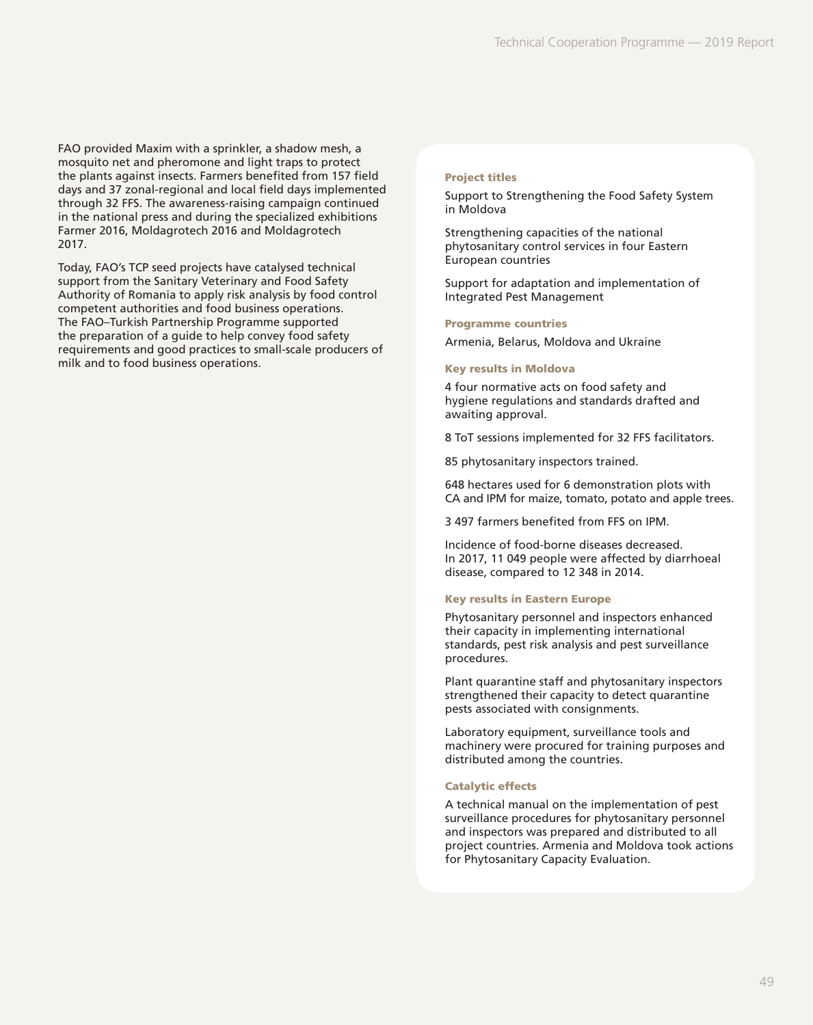FAO provided Maxim with a sprinkler, a shadow mesh, a mosquito net and pheromone and light traps to protect the plants against insects. Farmers benefited from 157 field days and 37 zonal-regional and local field days implemented through 32 FFS. The awareness-raising campaign continued in the national press and during the specialized exhibitions Farmer 2016, Moldagrotech 2016 and Moldagrotech 2017.

Today, FAO's TCP seed projects have catalysed technical support from the Sanitary Veterinary and Food Safety Authority of Romania to apply risk analysis by food control competent authorities and food business operations. The FAO–Turkish Partnership Programme supported the preparation of a guide to help convey food safety requirements and good practices to small-scale producers of milk and to food business operations.

### Project titles

Support to Strengthening the Food Safety System in Moldova

Strengthening capacities of the national phytosanitary control services in four Eastern European countries

Support for adaptation and implementation of Integrated Pest Management

#### Programme countries

Armenia, Belarus, Moldova and Ukraine

#### Key results in Moldova

4 four normative acts on food safety and hygiene regulations and standards drafted and awaiting approval.

8 ToT sessions implemented for 32 FFS facilitators.

85 phytosanitary inspectors trained.

648 hectares used for 6 demonstration plots with CA and IPM for maize, tomato, potato and apple trees.

3 497 farmers benefited from FFS on IPM.

Incidence of food-borne diseases decreased. In 2017, 11 049 people were affected by diarrhoeal disease, compared to 12 348 in 2014.

#### Key results in Eastern Europe

Phytosanitary personnel and inspectors enhanced their capacity in implementing international standards, pest risk analysis and pest surveillance procedures.

Plant quarantine staff and phytosanitary inspectors strengthened their capacity to detect quarantine pests associated with consignments.

Laboratory equipment, surveillance tools and machinery were procured for training purposes and distributed among the countries.

#### Catalytic effects

A technical manual on the implementation of pest surveillance procedures for phytosanitary personnel and inspectors was prepared and distributed to all project countries. Armenia and Moldova took actions for Phytosanitary Capacity Evaluation.